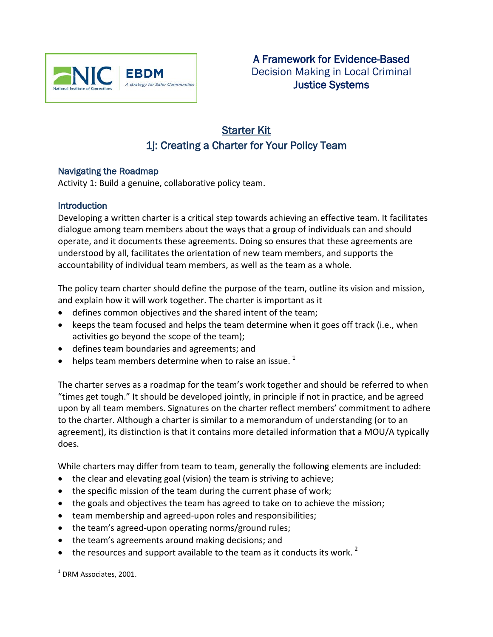

# Starter Kit 1j: Creating a Charter for Your Policy Team

# Navigating the Roadmap

Activity 1: Build a genuine, collaborative policy team.

# **Introduction**

Developing a written charter is a critical step towards achieving an effective team. It facilitates dialogue among team members about the ways that a group of individuals can and should operate, and it documents these agreements. Doing so ensures that these agreements are understood by all, facilitates the orientation of new team members, and supports the accountability of individual team members, as well as the team as a whole.

The policy team charter should define the purpose of the team, outline its vision and mission, and explain how it will work together. The charter is important as it

- defines common objectives and the shared intent of the team;
- keeps the team focused and helps the team determine when it goes off track (i.e., when activities go beyond the scope of the team);
- defines team boundaries and agreements; and
- helps team members determine when to raise an issue.<sup>[1](#page-0-0)</sup>

The charter serves as a roadmap for the team's work together and should be referred to when "times get tough." It should be developed jointly, in principle if not in practice, and be agreed upon by all team members. Signatures on the charter reflect members' commitment to adhere to the charter. Although a charter is similar to a memorandum of understanding (or to an agreement), its distinction is that it contains more detailed information that a MOU/A typically does.

While charters may differ from team to team, generally the following elements are included:

- the clear and elevating goal (vision) the team is striving to achieve;
- the specific mission of the team during the current phase of work;
- the goals and objectives the team has agreed to take on to achieve the mission;
- team membership and agreed-upon roles and responsibilities;
- the team's agreed-upon operating norms/ground rules;
- the team's agreements around making decisions; and
- <span id="page-0-1"></span>• the resources and support available to the team as it conducts its work.<sup>[2](#page-0-1)</sup>

<span id="page-0-2"></span><span id="page-0-0"></span> <sup>1</sup> DRM Associates, 2001.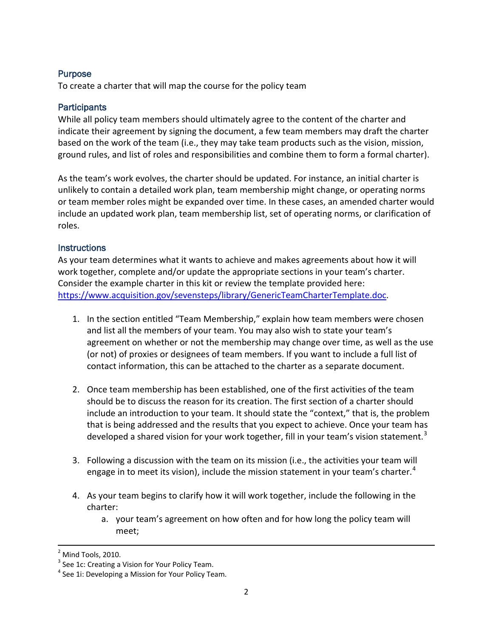### **Purpose**

To create a charter that will map the course for the policy team

## **Participants**

While all policy team members should ultimately agree to the content of the charter and indicate their agreement by signing the document, a few team members may draft the charter based on the work of the team (i.e., they may take team products such as the vision, mission, ground rules, and list of roles and responsibilities and combine them to form a formal charter).

As the team's work evolves, the charter should be updated. For instance, an initial charter is unlikely to contain a detailed work plan, team membership might change, or operating norms or team member roles might be expanded over time. In these cases, an amended charter would include an updated work plan, team membership list, set of operating norms, or clarification of roles.

#### **Instructions**

As your team determines what it wants to achieve and makes agreements about how it will work together, complete and/or update the appropriate sections in your team's charter. Consider the example charter in this kit or review the template provided here: [https://www.acquisition.gov/sevensteps/library/GenericTeamCharterTemplate.doc.](https://www.acquisition.gov/sevensteps/library/GenericTeamCharterTemplate.doc)

- 1. In the section entitled "Team Membership," explain how team members were chosen and list all the members of your team. You may also wish to state your team's agreement on whether or not the membership may change over time, as well as the use (or not) of proxies or designees of team members. If you want to include a full list of contact information, this can be attached to the charter as a separate document.
- 2. Once team membership has been established, one of the first activities of the team should be to discuss the reason for its creation. The first section of a charter should include an introduction to your team. It should state the "context," that is, the problem that is being addressed and the results that you expect to achieve. Once your team has developed a shared vision for your work together, fill in your team's vision statement.<sup>[3](#page-0-2)</sup>
- 3. Following a discussion with the team on its mission (i.e., the activities your team will engage in to meet its vision), include the mission statement in your team's charter. $4$
- 4. As your team begins to clarify how it will work together, include the following in the charter:
	- a. your team's agreement on how often and for how long the policy team will meet;

<span id="page-1-1"></span> $<sup>2</sup>$  Mind Tools, 2010.</sup>

 $3$  See 1c: Creating a Vision for Your Policy Team.<br> $4$  See 1i: Developing a Mission for Your Policy Team.

<span id="page-1-0"></span>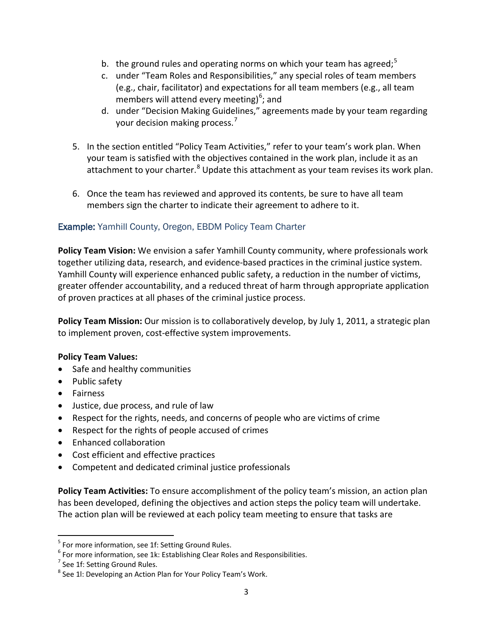- b. the ground rules and operating norms on which your team has agreed;<sup>[5](#page-1-1)</sup>
- c. under "Team Roles and Responsibilities," any special roles of team members (e.g., chair, facilitator) and expectations for all team members (e.g., all team members will attend every meeting)<sup>[6](#page-2-0)</sup>; and
- d. under "Decision Making Guidelines," agreements made by your team regarding your decision making process.<sup>[7](#page-2-1)</sup>
- 5. In the section entitled "Policy Team Activities," refer to your team's work plan. When your team is satisfied with the objectives contained in the work plan, include it as an attachment to your charter. $8$  Update this attachment as your team revises its work plan.
- 6. Once the team has reviewed and approved its contents, be sure to have all team members sign the charter to indicate their agreement to adhere to it.

# Example: Yamhill County, Oregon, EBDM Policy Team Charter

**Policy Team Vision:** We envision a safer Yamhill County community, where professionals work together utilizing data, research, and evidence-based practices in the criminal justice system. Yamhill County will experience enhanced public safety, a reduction in the number of victims, greater offender accountability, and a reduced threat of harm through appropriate application of proven practices at all phases of the criminal justice process.

**Policy Team Mission:** Our mission is to collaboratively develop, by July 1, 2011, a strategic plan to implement proven, cost-effective system improvements.

# **Policy Team Values:**

- Safe and healthy communities
- Public safety
- Fairness
- Justice, due process, and rule of law
- Respect for the rights, needs, and concerns of people who are victims of crime
- Respect for the rights of people accused of crimes
- Enhanced collaboration
- Cost efficient and effective practices
- Competent and dedicated criminal justice professionals

**Policy Team Activities:** To ensure accomplishment of the policy team's mission, an action plan has been developed, defining the objectives and action steps the policy team will undertake. The action plan will be reviewed at each policy team meeting to ensure that tasks are

<span id="page-2-0"></span>

<sup>&</sup>lt;sup>5</sup> For more information, see 1f: Setting Ground Rules.<br>
<sup>6</sup> For more information, see 1k: Establishing Clear Roles and Responsibilities.<br>
<sup>7</sup> See 1f: Setting Ground Rules.<br>
<sup>8</sup> See 1l: Developing an Action Plan for Your

<span id="page-2-1"></span>

<span id="page-2-2"></span>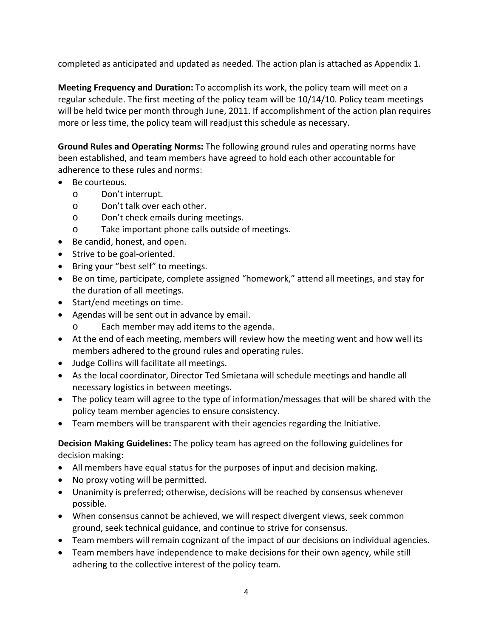completed as anticipated and updated as needed. The action plan is attached as Appendix 1.

**Meeting Frequency and Duration:** To accomplish its work, the policy team will meet on a regular schedule. The first meeting of the policy team will be 10/14/10. Policy team meetings will be held twice per month through June, 2011. If accomplishment of the action plan requires more or less time, the policy team will readjust this schedule as necessary.

**Ground Rules and Operating Norms:** The following ground rules and operating norms have been established, and team members have agreed to hold each other accountable for adherence to these rules and norms:

- Be courteous.
	- o Don't interrupt.
	- o Don't talk over each other.
	- o Don't check emails during meetings.
	- o Take important phone calls outside of meetings.
- Be candid, honest, and open.
- Strive to be goal-oriented.
- Bring your "best self" to meetings.
- Be on time, participate, complete assigned "homework," attend all meetings, and stay for the duration of all meetings.
- Start/end meetings on time.
- Agendas will be sent out in advance by email.
	- o Each member may add items to the agenda.
- At the end of each meeting, members will review how the meeting went and how well its members adhered to the ground rules and operating rules.
- Judge Collins will facilitate all meetings.
- As the local coordinator, Director Ted Smietana will schedule meetings and handle all necessary logistics in between meetings.
- The policy team will agree to the type of information/messages that will be shared with the policy team member agencies to ensure consistency.
- Team members will be transparent with their agencies regarding the Initiative.

**Decision Making Guidelines:** The policy team has agreed on the following guidelines for decision making:

- All members have equal status for the purposes of input and decision making.
- No proxy voting will be permitted.
- Unanimity is preferred; otherwise, decisions will be reached by consensus whenever possible.
- When consensus cannot be achieved, we will respect divergent views, seek common ground, seek technical guidance, and continue to strive for consensus.
- Team members will remain cognizant of the impact of our decisions on individual agencies.
- Team members have independence to make decisions for their own agency, while still adhering to the collective interest of the policy team.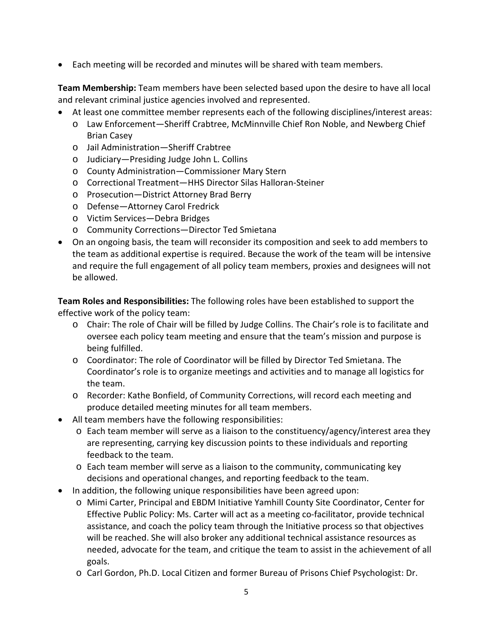• Each meeting will be recorded and minutes will be shared with team members.

**Team Membership:** Team members have been selected based upon the desire to have all local and relevant criminal justice agencies involved and represented.

- At least one committee member represents each of the following disciplines/interest areas:
	- o Law Enforcement—Sheriff Crabtree, McMinnville Chief Ron Noble, and Newberg Chief Brian Casey
	- o Jail Administration—Sheriff Crabtree
	- o Judiciary—Presiding Judge John L. Collins
	- o County Administration—Commissioner Mary Stern
	- o Correctional Treatment—HHS Director Silas Halloran-Steiner
	- o Prosecution—District Attorney Brad Berry
	- o Defense—Attorney Carol Fredrick
	- o Victim Services—Debra Bridges
	- o Community Corrections—Director Ted Smietana
- On an ongoing basis, the team will reconsider its composition and seek to add members to the team as additional expertise is required. Because the work of the team will be intensive and require the full engagement of all policy team members, proxies and designees will not be allowed.

**Team Roles and Responsibilities:** The following roles have been established to support the effective work of the policy team:

- o Chair: The role of Chair will be filled by Judge Collins. The Chair's role is to facilitate and oversee each policy team meeting and ensure that the team's mission and purpose is being fulfilled.
- o Coordinator: The role of Coordinator will be filled by Director Ted Smietana. The Coordinator's role is to organize meetings and activities and to manage all logistics for the team.
- o Recorder: Kathe Bonfield, of Community Corrections, will record each meeting and produce detailed meeting minutes for all team members.
- All team members have the following responsibilities:
	- o Each team member will serve as a liaison to the constituency/agency/interest area they are representing, carrying key discussion points to these individuals and reporting feedback to the team.
	- o Each team member will serve as a liaison to the community, communicating key decisions and operational changes, and reporting feedback to the team.
- In addition, the following unique responsibilities have been agreed upon:
	- o Mimi Carter, Principal and EBDM Initiative Yamhill County Site Coordinator, Center for Effective Public Policy: Ms. Carter will act as a meeting co-facilitator, provide technical assistance, and coach the policy team through the Initiative process so that objectives will be reached. She will also broker any additional technical assistance resources as needed, advocate for the team, and critique the team to assist in the achievement of all goals.
	- o Carl Gordon, Ph.D. Local Citizen and former Bureau of Prisons Chief Psychologist: Dr.